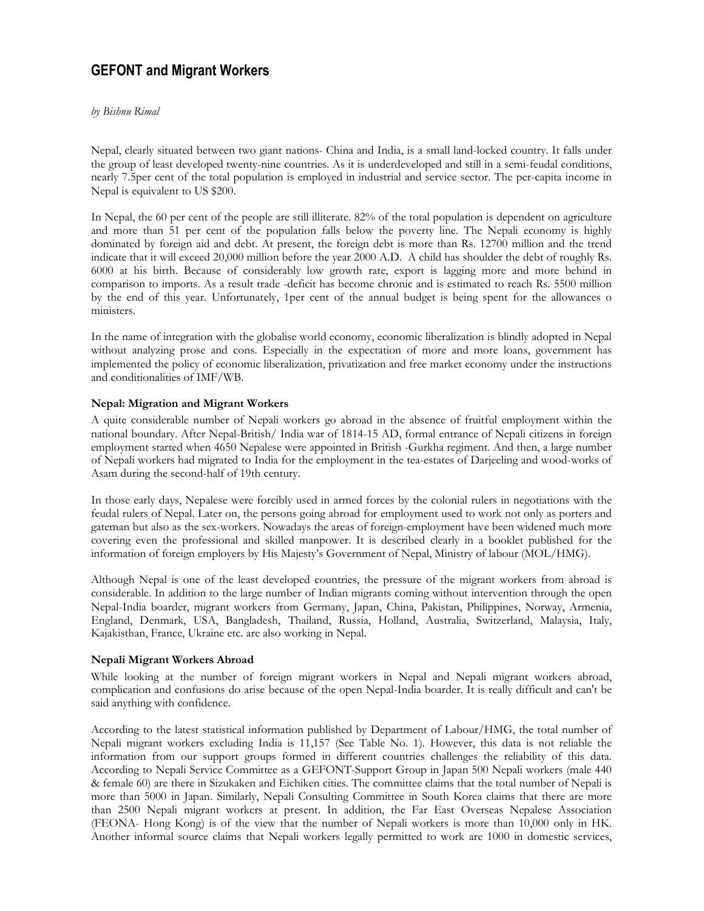# GEFONT and Migrant Workers

### by Bishnu Rimal

Nepal, clearly situated between two giant nations- China and India, is a small land-locked country. It falls under the group of least developed twenty-nine countries. As it is underdeveloped and still in a semi-feudal conditions, nearly 7.5per cent of the total population is employed in industrial and service sector. The per-capita income in Nepal is equivalent to US \$200.

In Nepal, the 60 per cent of the people are still illiterate. 82% of the total population is dependent on agriculture and more than 51 per cent of the population falls below the poverty line. The Nepali economy is highly dominated by foreign aid and debt. At present, the foreign debt is more than Rs. 12700 million and the trend indicate that it will exceed 20,000 million before the year 2000 A.D. A child has shoulder the debt of roughly Rs. 6000 at his birth. Because of considerably low growth rate, export is lagging more and more behind in comparison to imports. As a result trade -deficit has become chronic and is estimated to reach Rs. 5500 million by the end of this year. Unfortunately, 1per cent of the annual budget is being spent for the allowances o ministers.

In the name of integration with the globalise world economy, economic liberalization is blindly adopted in Nepal without analyzing prose and cons. Especially in the expectation of more and more loans, government has implemented the policy of economic liberalization, privatization and free market economy under the instructions and conditionalities of IMF/WB.

## Nepal: Migration and Migrant Workers

A quite considerable number of Nepali workers go abroad in the absence of fruitful employment within the national boundary. After Nepal-British/ India war of 1814-15 AD, formal entrance of Nepali citizens in foreign employment started when 4650 Nepalese were appointed in British -Gurkha regiment. And then, a large number of Nepali workers had migrated to India for the employment in the tea-estates of Darjeeling and wood-works of Asam during the second-half of 19th century.

In those early days, Nepalese were forcibly used in armed forces by the colonial rulers in negotiations with the feudal rulers of Nepal. Later on, the persons going abroad for employment used to work not only as porters and gateman but also as the sex-workers. Nowadays the areas of foreign-employment have been widened much more covering even the professional and skilled manpower. It is described clearly in a booklet published for the information of foreign employers by His Majesty's Government of Nepal, Ministry of labour (MOL/HMG).

Although Nepal is one of the least developed countries, the pressure of the migrant workers from abroad is considerable. In addition to the large number of Indian migrants coming without intervention through the open Nepal-India boarder, migrant workers from Germany, Japan, China, Pakistan, Philippines, Norway, Armenia, England, Denmark, USA, Bangladesh, Thailand, Russia, Holland, Australia, Switzerland, Malaysia, Italy, Kajakisthan, France, Ukraine etc. are also working in Nepal.

## Nepali Migrant Workers Abroad

While looking at the number of foreign migrant workers in Nepal and Nepali migrant workers abroad, complication and confusions do arise because of the open Nepal-India boarder. It is really difficult and can't be said anything with confidence.

According to the latest statistical information published by Department of Labour/HMG, the total number of Nepali migrant workers excluding India is 11,157 (See Table No. 1). However, this data is not reliable the information from our support groups formed in different countries challenges the reliability of this data. According to Nepali Service Committee as a GEFONT-Support Group in Japan 500 Nepali workers (male 440 & female 60) are there in Sizukaken and Eichiken cities. The committee claims that the total number of Nepali is more than 5000 in Japan. Similarly, Nepali Consulting Committee in South Korea claims that there are more than 2500 Nepali migrant workers at present. In addition, the Far East Overseas Nepalese Association (FEONA- Hong Kong) is of the view that the number of Nepali workers is more than 10,000 only in HK. Another informal source claims that Nepali workers legally permitted to work are 1000 in domestic services,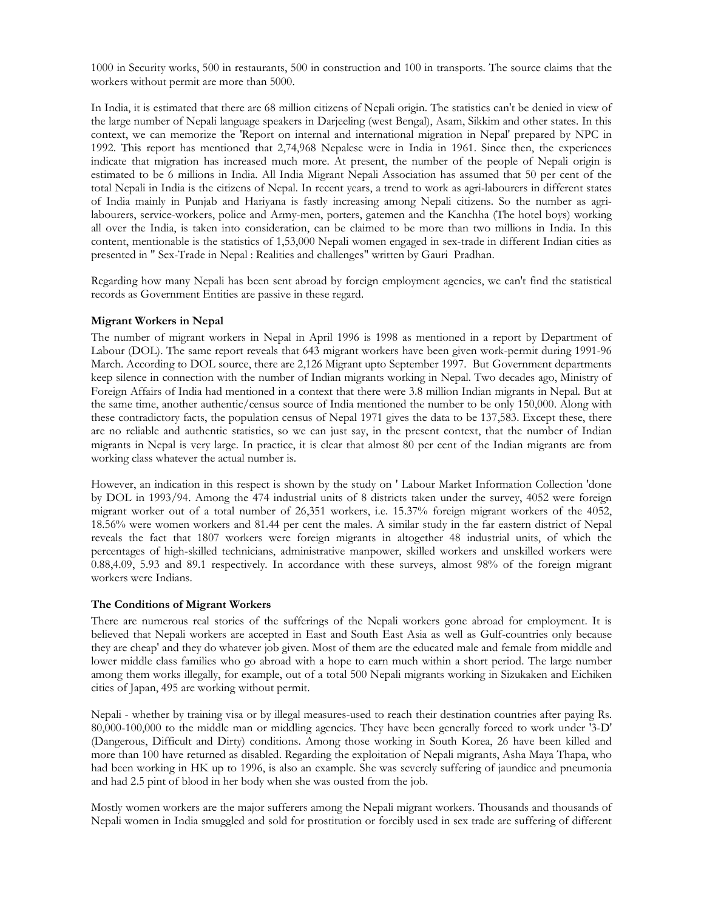1000 in Security works, 500 in restaurants, 500 in construction and 100 in transports. The source claims that the workers without permit are more than 5000.

In India, it is estimated that there are 68 million citizens of Nepali origin. The statistics can't be denied in view of the large number of Nepali language speakers in Darjeeling (west Bengal), Asam, Sikkim and other states. In this context, we can memorize the 'Report on internal and international migration in Nepal' prepared by NPC in 1992. This report has mentioned that 2,74,968 Nepalese were in India in 1961. Since then, the experiences indicate that migration has increased much more. At present, the number of the people of Nepali origin is estimated to be 6 millions in India. All India Migrant Nepali Association has assumed that 50 per cent of the total Nepali in India is the citizens of Nepal. In recent years, a trend to work as agri-labourers in different states of India mainly in Punjab and Hariyana is fastly increasing among Nepali citizens. So the number as agrilabourers, service-workers, police and Army-men, porters, gatemen and the Kanchha (The hotel boys) working all over the India, is taken into consideration, can be claimed to be more than two millions in India. In this content, mentionable is the statistics of 1,53,000 Nepali women engaged in sex-trade in different Indian cities as presented in " Sex-Trade in Nepal : Realities and challenges" written by Gauri Pradhan.

Regarding how many Nepali has been sent abroad by foreign employment agencies, we can't find the statistical records as Government Entities are passive in these regard.

#### Migrant Workers in Nepal

The number of migrant workers in Nepal in April 1996 is 1998 as mentioned in a report by Department of Labour (DOL). The same report reveals that 643 migrant workers have been given work-permit during 1991-96 March. According to DOL source, there are 2,126 Migrant upto September 1997. But Government departments keep silence in connection with the number of Indian migrants working in Nepal. Two decades ago, Ministry of Foreign Affairs of India had mentioned in a context that there were 3.8 million Indian migrants in Nepal. But at the same time, another authentic/census source of India mentioned the number to be only 150,000. Along with these contradictory facts, the population census of Nepal 1971 gives the data to be 137,583. Except these, there are no reliable and authentic statistics, so we can just say, in the present context, that the number of Indian migrants in Nepal is very large. In practice, it is clear that almost 80 per cent of the Indian migrants are from working class whatever the actual number is.

However, an indication in this respect is shown by the study on ' Labour Market Information Collection 'done by DOL in 1993/94. Among the 474 industrial units of 8 districts taken under the survey, 4052 were foreign migrant worker out of a total number of 26,351 workers, i.e. 15.37% foreign migrant workers of the 4052, 18.56% were women workers and 81.44 per cent the males. A similar study in the far eastern district of Nepal reveals the fact that 1807 workers were foreign migrants in altogether 48 industrial units, of which the percentages of high-skilled technicians, administrative manpower, skilled workers and unskilled workers were 0.88,4.09, 5.93 and 89.1 respectively. In accordance with these surveys, almost 98% of the foreign migrant workers were Indians.

#### The Conditions of Migrant Workers

There are numerous real stories of the sufferings of the Nepali workers gone abroad for employment. It is believed that Nepali workers are accepted in East and South East Asia as well as Gulf-countries only because they are cheap' and they do whatever job given. Most of them are the educated male and female from middle and lower middle class families who go abroad with a hope to earn much within a short period. The large number among them works illegally, for example, out of a total 500 Nepali migrants working in Sizukaken and Eichiken cities of Japan, 495 are working without permit.

Nepali - whether by training visa or by illegal measures-used to reach their destination countries after paying Rs. 80,000-100,000 to the middle man or middling agencies. They have been generally forced to work under '3-D' (Dangerous, Difficult and Dirty) conditions. Among those working in South Korea, 26 have been killed and more than 100 have returned as disabled. Regarding the exploitation of Nepali migrants, Asha Maya Thapa, who had been working in HK up to 1996, is also an example. She was severely suffering of jaundice and pneumonia and had 2.5 pint of blood in her body when she was ousted from the job.

Mostly women workers are the major sufferers among the Nepali migrant workers. Thousands and thousands of Nepali women in India smuggled and sold for prostitution or forcibly used in sex trade are suffering of different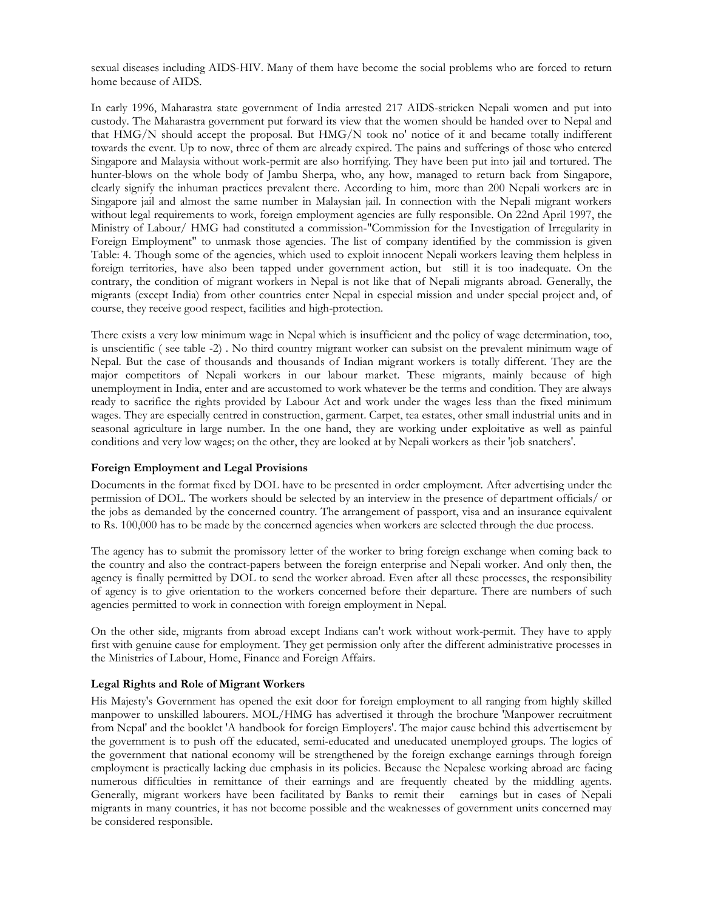sexual diseases including AIDS-HIV. Many of them have become the social problems who are forced to return home because of AIDS.

In early 1996, Maharastra state government of India arrested 217 AIDS-stricken Nepali women and put into custody. The Maharastra government put forward its view that the women should be handed over to Nepal and that HMG/N should accept the proposal. But HMG/N took no' notice of it and became totally indifferent towards the event. Up to now, three of them are already expired. The pains and sufferings of those who entered Singapore and Malaysia without work-permit are also horrifying. They have been put into jail and tortured. The hunter-blows on the whole body of Jambu Sherpa, who, any how, managed to return back from Singapore, clearly signify the inhuman practices prevalent there. According to him, more than 200 Nepali workers are in Singapore jail and almost the same number in Malaysian jail. In connection with the Nepali migrant workers without legal requirements to work, foreign employment agencies are fully responsible. On 22nd April 1997, the Ministry of Labour/ HMG had constituted a commission-"Commission for the Investigation of Irregularity in Foreign Employment" to unmask those agencies. The list of company identified by the commission is given Table: 4. Though some of the agencies, which used to exploit innocent Nepali workers leaving them helpless in foreign territories, have also been tapped under government action, but still it is too inadequate. On the contrary, the condition of migrant workers in Nepal is not like that of Nepali migrants abroad. Generally, the migrants (except India) from other countries enter Nepal in especial mission and under special project and, of course, they receive good respect, facilities and high-protection.

There exists a very low minimum wage in Nepal which is insufficient and the policy of wage determination, too, is unscientific ( see table -2) . No third country migrant worker can subsist on the prevalent minimum wage of Nepal. But the case of thousands and thousands of Indian migrant workers is totally different. They are the major competitors of Nepali workers in our labour market. These migrants, mainly because of high unemployment in India, enter and are accustomed to work whatever be the terms and condition. They are always ready to sacrifice the rights provided by Labour Act and work under the wages less than the fixed minimum wages. They are especially centred in construction, garment. Carpet, tea estates, other small industrial units and in seasonal agriculture in large number. In the one hand, they are working under exploitative as well as painful conditions and very low wages; on the other, they are looked at by Nepali workers as their 'job snatchers'.

## Foreign Employment and Legal Provisions

Documents in the format fixed by DOL have to be presented in order employment. After advertising under the permission of DOL. The workers should be selected by an interview in the presence of department officials/ or the jobs as demanded by the concerned country. The arrangement of passport, visa and an insurance equivalent to Rs. 100,000 has to be made by the concerned agencies when workers are selected through the due process.

The agency has to submit the promissory letter of the worker to bring foreign exchange when coming back to the country and also the contract-papers between the foreign enterprise and Nepali worker. And only then, the agency is finally permitted by DOL to send the worker abroad. Even after all these processes, the responsibility of agency is to give orientation to the workers concerned before their departure. There are numbers of such agencies permitted to work in connection with foreign employment in Nepal.

On the other side, migrants from abroad except Indians can't work without work-permit. They have to apply first with genuine cause for employment. They get permission only after the different administrative processes in the Ministries of Labour, Home, Finance and Foreign Affairs.

## Legal Rights and Role of Migrant Workers

His Majesty's Government has opened the exit door for foreign employment to all ranging from highly skilled manpower to unskilled labourers. MOL/HMG has advertised it through the brochure 'Manpower recruitment from Nepal' and the booklet 'A handbook for foreign Employers'. The major cause behind this advertisement by the government is to push off the educated, semi-educated and uneducated unemployed groups. The logics of the government that national economy will be strengthened by the foreign exchange earnings through foreign employment is practically lacking due emphasis in its policies. Because the Nepalese working abroad are facing numerous difficulties in remittance of their earnings and are frequently cheated by the middling agents. Generally, migrant workers have been facilitated by Banks to remit their earnings but in cases of Nepali migrants in many countries, it has not become possible and the weaknesses of government units concerned may be considered responsible.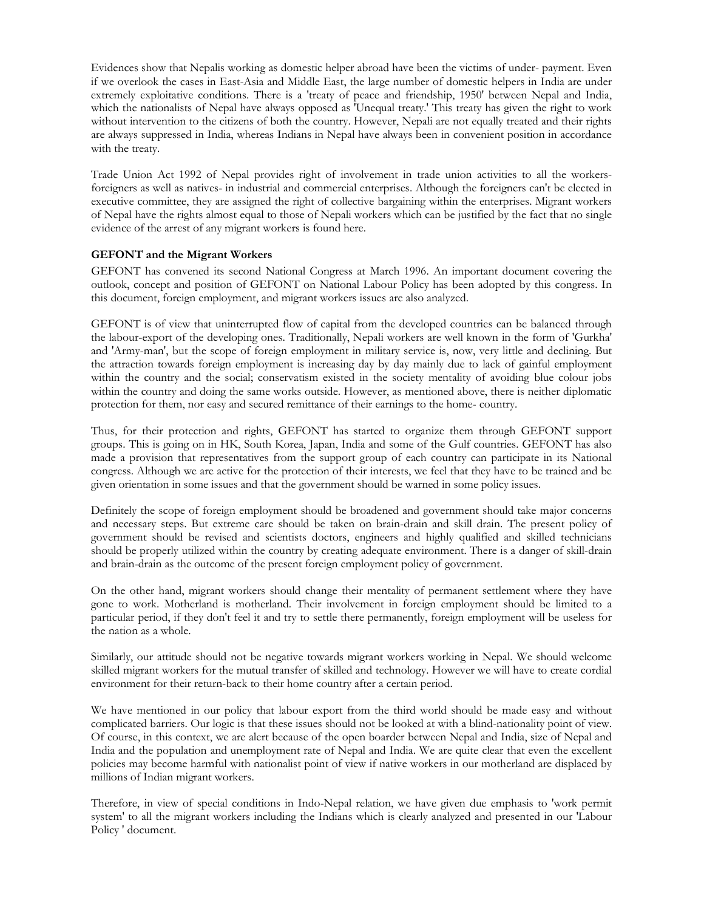Evidences show that Nepalis working as domestic helper abroad have been the victims of under- payment. Even if we overlook the cases in East-Asia and Middle East, the large number of domestic helpers in India are under extremely exploitative conditions. There is a 'treaty of peace and friendship, 1950' between Nepal and India, which the nationalists of Nepal have always opposed as 'Unequal treaty.' This treaty has given the right to work without intervention to the citizens of both the country. However, Nepali are not equally treated and their rights are always suppressed in India, whereas Indians in Nepal have always been in convenient position in accordance with the treaty.

Trade Union Act 1992 of Nepal provides right of involvement in trade union activities to all the workersforeigners as well as natives- in industrial and commercial enterprises. Although the foreigners can't be elected in executive committee, they are assigned the right of collective bargaining within the enterprises. Migrant workers of Nepal have the rights almost equal to those of Nepali workers which can be justified by the fact that no single evidence of the arrest of any migrant workers is found here.

## GEFONT and the Migrant Workers

GEFONT has convened its second National Congress at March 1996. An important document covering the outlook, concept and position of GEFONT on National Labour Policy has been adopted by this congress. In this document, foreign employment, and migrant workers issues are also analyzed.

GEFONT is of view that uninterrupted flow of capital from the developed countries can be balanced through the labour-export of the developing ones. Traditionally, Nepali workers are well known in the form of 'Gurkha' and 'Army-man', but the scope of foreign employment in military service is, now, very little and declining. But the attraction towards foreign employment is increasing day by day mainly due to lack of gainful employment within the country and the social; conservatism existed in the society mentality of avoiding blue colour jobs within the country and doing the same works outside. However, as mentioned above, there is neither diplomatic protection for them, nor easy and secured remittance of their earnings to the home- country.

Thus, for their protection and rights, GEFONT has started to organize them through GEFONT support groups. This is going on in HK, South Korea, Japan, India and some of the Gulf countries. GEFONT has also made a provision that representatives from the support group of each country can participate in its National congress. Although we are active for the protection of their interests, we feel that they have to be trained and be given orientation in some issues and that the government should be warned in some policy issues.

Definitely the scope of foreign employment should be broadened and government should take major concerns and necessary steps. But extreme care should be taken on brain-drain and skill drain. The present policy of government should be revised and scientists doctors, engineers and highly qualified and skilled technicians should be properly utilized within the country by creating adequate environment. There is a danger of skill-drain and brain-drain as the outcome of the present foreign employment policy of government.

On the other hand, migrant workers should change their mentality of permanent settlement where they have gone to work. Motherland is motherland. Their involvement in foreign employment should be limited to a particular period, if they don't feel it and try to settle there permanently, foreign employment will be useless for the nation as a whole.

Similarly, our attitude should not be negative towards migrant workers working in Nepal. We should welcome skilled migrant workers for the mutual transfer of skilled and technology. However we will have to create cordial environment for their return-back to their home country after a certain period.

We have mentioned in our policy that labour export from the third world should be made easy and without complicated barriers. Our logic is that these issues should not be looked at with a blind-nationality point of view. Of course, in this context, we are alert because of the open boarder between Nepal and India, size of Nepal and India and the population and unemployment rate of Nepal and India. We are quite clear that even the excellent policies may become harmful with nationalist point of view if native workers in our motherland are displaced by millions of Indian migrant workers.

Therefore, in view of special conditions in Indo-Nepal relation, we have given due emphasis to 'work permit system' to all the migrant workers including the Indians which is clearly analyzed and presented in our 'Labour Policy ' document.